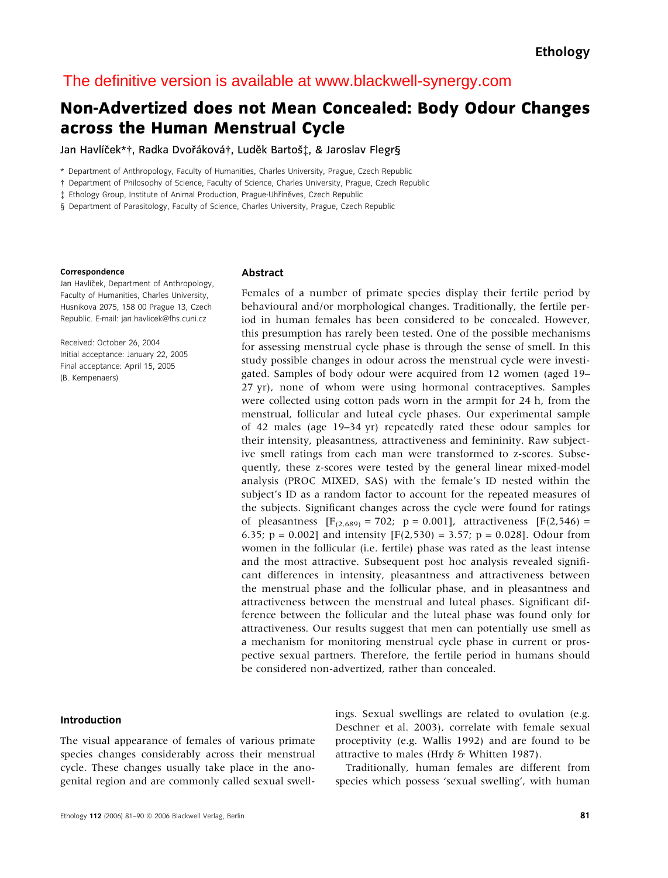# The definitive version is available at www.blackwell-synergy.com

# Non-Advertized does not Mean Concealed: Body Odour Changes across the Human Menstrual Cycle

Jan Havlíček\*†, Radka Dvořáková†, Luděk Bartoš‡, & Jaroslav Flegr§

\* Department of Anthropology, Faculty of Humanities, Charles University, Prague, Czech Republic

Department of Philosophy of Science, Faculty of Science, Charles University, Prague, Czech Republic

- Ethology Group, Institute of Animal Production, Prague-Uhrˇı´neˇ ves, Czech Republic

§ Department of Parasitology, Faculty of Science, Charles University, Prague, Czech Republic

#### Correspondence

Jan Havlíček, Department of Anthropology, Faculty of Humanities, Charles University, Husnikova 2075, 158 00 Prague 13, Czech Republic. E-mail: jan.havlicek@fhs.cuni.cz

Received: October 26, 2004 Initial acceptance: January 22, 2005 Final acceptance: April 15, 2005 (B. Kempenaers)

# Abstract

Females of a number of primate species display their fertile period by behavioural and/or morphological changes. Traditionally, the fertile period in human females has been considered to be concealed. However, this presumption has rarely been tested. One of the possible mechanisms for assessing menstrual cycle phase is through the sense of smell. In this study possible changes in odour across the menstrual cycle were investigated. Samples of body odour were acquired from 12 women (aged 19– 27 yr), none of whom were using hormonal contraceptives. Samples were collected using cotton pads worn in the armpit for 24 h, from the menstrual, follicular and luteal cycle phases. Our experimental sample of 42 males (age 19–34 yr) repeatedly rated these odour samples for their intensity, pleasantness, attractiveness and femininity. Raw subjective smell ratings from each man were transformed to z-scores. Subsequently, these z-scores were tested by the general linear mixed-model analysis (PROC MIXED, SAS) with the female's ID nested within the subject's ID as a random factor to account for the repeated measures of the subjects. Significant changes across the cycle were found for ratings of pleasantness  $[F_{(2,689)} = 702; p = 0.001]$ , attractiveness  $[F(2,546) =$ 6.35;  $p = 0.002$  and intensity  $[F(2,530) = 3.57; p = 0.028]$ . Odour from women in the follicular (i.e. fertile) phase was rated as the least intense and the most attractive. Subsequent post hoc analysis revealed significant differences in intensity, pleasantness and attractiveness between the menstrual phase and the follicular phase, and in pleasantness and attractiveness between the menstrual and luteal phases. Significant difference between the follicular and the luteal phase was found only for attractiveness. Our results suggest that men can potentially use smell as a mechanism for monitoring menstrual cycle phase in current or prospective sexual partners. Therefore, the fertile period in humans should be considered non-advertized, rather than concealed.

## Introduction

The visual appearance of females of various primate species changes considerably across their menstrual cycle. These changes usually take place in the anogenital region and are commonly called sexual swell-

ings. Sexual swellings are related to ovulation (e.g. Deschner et al. 2003), correlate with female sexual proceptivity (e.g. Wallis 1992) and are found to be attractive to males (Hrdy & Whitten 1987).

Traditionally, human females are different from species which possess 'sexual swelling', with human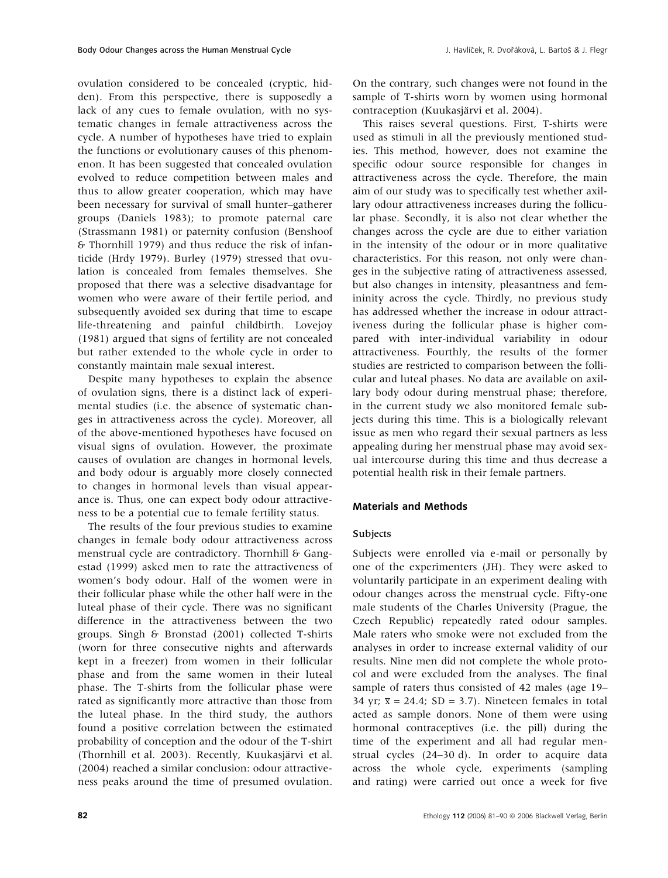ovulation considered to be concealed (cryptic, hidden). From this perspective, there is supposedly a lack of any cues to female ovulation, with no systematic changes in female attractiveness across the cycle. A number of hypotheses have tried to explain the functions or evolutionary causes of this phenomenon. It has been suggested that concealed ovulation evolved to reduce competition between males and thus to allow greater cooperation, which may have been necessary for survival of small hunter–gatherer groups (Daniels 1983); to promote paternal care (Strassmann 1981) or paternity confusion (Benshoof & Thornhill 1979) and thus reduce the risk of infanticide (Hrdy 1979). Burley (1979) stressed that ovulation is concealed from females themselves. She proposed that there was a selective disadvantage for women who were aware of their fertile period, and subsequently avoided sex during that time to escape life-threatening and painful childbirth. Lovejoy (1981) argued that signs of fertility are not concealed but rather extended to the whole cycle in order to constantly maintain male sexual interest.

Despite many hypotheses to explain the absence of ovulation signs, there is a distinct lack of experimental studies (i.e. the absence of systematic changes in attractiveness across the cycle). Moreover, all of the above-mentioned hypotheses have focused on visual signs of ovulation. However, the proximate causes of ovulation are changes in hormonal levels, and body odour is arguably more closely connected to changes in hormonal levels than visual appearance is. Thus, one can expect body odour attractiveness to be a potential cue to female fertility status.

The results of the four previous studies to examine changes in female body odour attractiveness across menstrual cycle are contradictory. Thornhill & Gangestad (1999) asked men to rate the attractiveness of women's body odour. Half of the women were in their follicular phase while the other half were in the luteal phase of their cycle. There was no significant difference in the attractiveness between the two groups. Singh & Bronstad (2001) collected T-shirts (worn for three consecutive nights and afterwards kept in a freezer) from women in their follicular phase and from the same women in their luteal phase. The T-shirts from the follicular phase were rated as significantly more attractive than those from the luteal phase. In the third study, the authors found a positive correlation between the estimated probability of conception and the odour of the T-shirt (Thornhill et al. 2003). Recently, Kuukasjärvi et al. (2004) reached a similar conclusion: odour attractiveness peaks around the time of presumed ovulation.

On the contrary, such changes were not found in the sample of T-shirts worn by women using hormonal contraception (Kuukasjärvi et al. 2004).

This raises several questions. First, T-shirts were used as stimuli in all the previously mentioned studies. This method, however, does not examine the specific odour source responsible for changes in attractiveness across the cycle. Therefore, the main aim of our study was to specifically test whether axillary odour attractiveness increases during the follicular phase. Secondly, it is also not clear whether the changes across the cycle are due to either variation in the intensity of the odour or in more qualitative characteristics. For this reason, not only were changes in the subjective rating of attractiveness assessed, but also changes in intensity, pleasantness and femininity across the cycle. Thirdly, no previous study has addressed whether the increase in odour attractiveness during the follicular phase is higher compared with inter-individual variability in odour attractiveness. Fourthly, the results of the former studies are restricted to comparison between the follicular and luteal phases. No data are available on axillary body odour during menstrual phase; therefore, in the current study we also monitored female subjects during this time. This is a biologically relevant issue as men who regard their sexual partners as less appealing during her menstrual phase may avoid sexual intercourse during this time and thus decrease a potential health risk in their female partners.

# Materials and Methods

# Subjects

Subjects were enrolled via e-mail or personally by one of the experimenters (JH). They were asked to voluntarily participate in an experiment dealing with odour changes across the menstrual cycle. Fifty-one male students of the Charles University (Prague, the Czech Republic) repeatedly rated odour samples. Male raters who smoke were not excluded from the analyses in order to increase external validity of our results. Nine men did not complete the whole protocol and were excluded from the analyses. The final sample of raters thus consisted of 42 males (age 19– 34 yr;  $\bar{x}$  = 24.4; SD = 3.7). Nineteen females in total acted as sample donors. None of them were using hormonal contraceptives (i.e. the pill) during the time of the experiment and all had regular menstrual cycles (24–30 d). In order to acquire data across the whole cycle, experiments (sampling and rating) were carried out once a week for five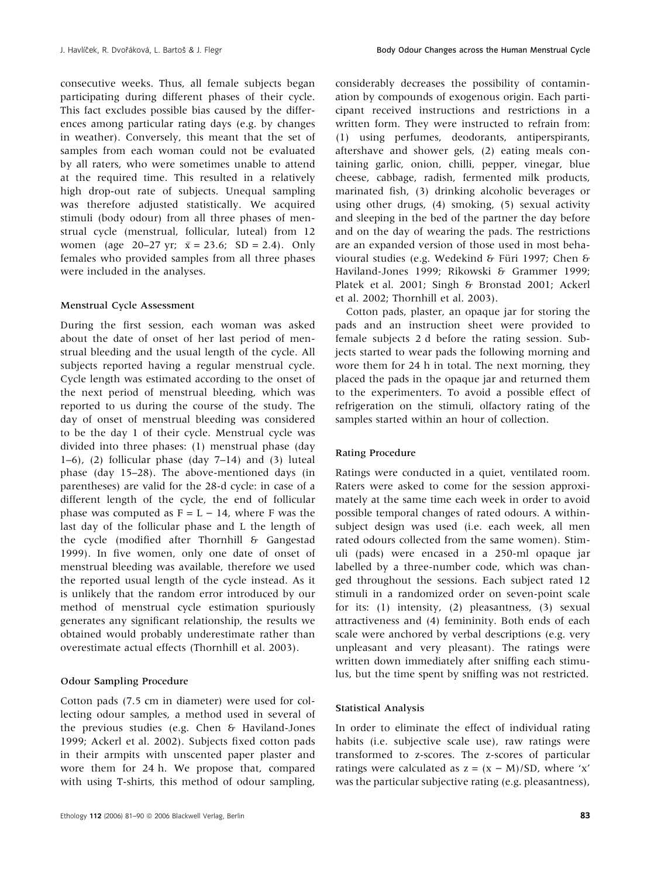consecutive weeks. Thus, all female subjects began participating during different phases of their cycle. This fact excludes possible bias caused by the differences among particular rating days (e.g. by changes in weather). Conversely, this meant that the set of samples from each woman could not be evaluated by all raters, who were sometimes unable to attend at the required time. This resulted in a relatively high drop-out rate of subjects. Unequal sampling was therefore adjusted statistically. We acquired stimuli (body odour) from all three phases of menstrual cycle (menstrual, follicular, luteal) from 12 women (age 20–27 yr;  $\bar{x} = 23.6$ ; SD = 2.4). Only females who provided samples from all three phases were included in the analyses.

#### Menstrual Cycle Assessment

During the first session, each woman was asked about the date of onset of her last period of menstrual bleeding and the usual length of the cycle. All subjects reported having a regular menstrual cycle. Cycle length was estimated according to the onset of the next period of menstrual bleeding, which was reported to us during the course of the study. The day of onset of menstrual bleeding was considered to be the day 1 of their cycle. Menstrual cycle was divided into three phases: (1) menstrual phase (day 1–6), (2) follicular phase (day  $7-14$ ) and (3) luteal phase (day 15–28). The above-mentioned days (in parentheses) are valid for the 28-d cycle: in case of a different length of the cycle, the end of follicular phase was computed as  $F = L - 14$ , where F was the last day of the follicular phase and L the length of the cycle (modified after Thornhill & Gangestad 1999). In five women, only one date of onset of menstrual bleeding was available, therefore we used the reported usual length of the cycle instead. As it is unlikely that the random error introduced by our method of menstrual cycle estimation spuriously generates any significant relationship, the results we obtained would probably underestimate rather than overestimate actual effects (Thornhill et al. 2003).

#### Odour Sampling Procedure

Cotton pads (7.5 cm in diameter) were used for collecting odour samples, a method used in several of the previous studies (e.g. Chen & Haviland-Jones 1999; Ackerl et al. 2002). Subjects fixed cotton pads in their armpits with unscented paper plaster and wore them for 24 h. We propose that, compared with using T-shirts, this method of odour sampling,

Ethology 112 (2006) 81-90 © 2006 Blackwell Verlag, Berlin 83 (2006) 83 (2006) 83 (2006) 83 (2006) 83 (2006) 83

considerably decreases the possibility of contamination by compounds of exogenous origin. Each participant received instructions and restrictions in a written form. They were instructed to refrain from: (1) using perfumes, deodorants, antiperspirants, aftershave and shower gels, (2) eating meals containing garlic, onion, chilli, pepper, vinegar, blue cheese, cabbage, radish, fermented milk products, marinated fish, (3) drinking alcoholic beverages or using other drugs, (4) smoking, (5) sexual activity and sleeping in the bed of the partner the day before and on the day of wearing the pads. The restrictions are an expanded version of those used in most behavioural studies (e.g. Wedekind & Füri 1997; Chen & Haviland-Jones 1999; Rikowski & Grammer 1999; Platek et al. 2001; Singh & Bronstad 2001; Ackerl et al. 2002; Thornhill et al. 2003).

Cotton pads, plaster, an opaque jar for storing the pads and an instruction sheet were provided to female subjects 2 d before the rating session. Subjects started to wear pads the following morning and wore them for 24 h in total. The next morning, they placed the pads in the opaque jar and returned them to the experimenters. To avoid a possible effect of refrigeration on the stimuli, olfactory rating of the samples started within an hour of collection.

#### Rating Procedure

Ratings were conducted in a quiet, ventilated room. Raters were asked to come for the session approximately at the same time each week in order to avoid possible temporal changes of rated odours. A withinsubject design was used (i.e. each week, all men rated odours collected from the same women). Stimuli (pads) were encased in a 250-ml opaque jar labelled by a three-number code, which was changed throughout the sessions. Each subject rated 12 stimuli in a randomized order on seven-point scale for its: (1) intensity, (2) pleasantness, (3) sexual attractiveness and (4) femininity. Both ends of each scale were anchored by verbal descriptions (e.g. very unpleasant and very pleasant). The ratings were written down immediately after sniffing each stimulus, but the time spent by sniffing was not restricted.

#### Statistical Analysis

In order to eliminate the effect of individual rating habits (i.e. subjective scale use), raw ratings were transformed to z-scores. The z-scores of particular ratings were calculated as  $z = (x - M)/SD$ , where 'x' was the particular subjective rating (e.g. pleasantness),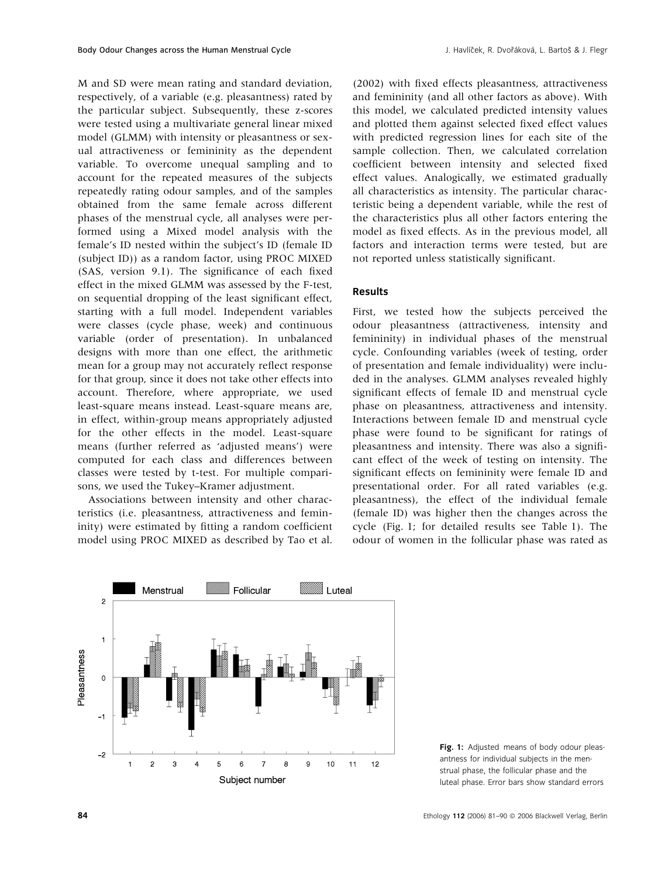M and SD were mean rating and standard deviation, respectively, of a variable (e.g. pleasantness) rated by the particular subject. Subsequently, these z-scores were tested using a multivariate general linear mixed model (GLMM) with intensity or pleasantness or sexual attractiveness or femininity as the dependent variable. To overcome unequal sampling and to account for the repeated measures of the subjects repeatedly rating odour samples, and of the samples obtained from the same female across different phases of the menstrual cycle, all analyses were performed using a Mixed model analysis with the female's ID nested within the subject's ID (female ID (subject ID)) as a random factor, using PROC MIXED (SAS, version 9.1). The significance of each fixed effect in the mixed GLMM was assessed by the F-test, on sequential dropping of the least significant effect, starting with a full model. Independent variables were classes (cycle phase, week) and continuous variable (order of presentation). In unbalanced designs with more than one effect, the arithmetic mean for a group may not accurately reflect response for that group, since it does not take other effects into account. Therefore, where appropriate, we used least-square means instead. Least-square means are, in effect, within-group means appropriately adjusted for the other effects in the model. Least-square means (further referred as 'adjusted means') were computed for each class and differences between classes were tested by t-test. For multiple comparisons, we used the Tukey–Kramer adjustment.

Associations between intensity and other characteristics (i.e. pleasantness, attractiveness and femininity) were estimated by fitting a random coefficient model using PROC MIXED as described by Tao et al.

(2002) with fixed effects pleasantness, attractiveness and femininity (and all other factors as above). With this model, we calculated predicted intensity values and plotted them against selected fixed effect values with predicted regression lines for each site of the sample collection. Then, we calculated correlation coefficient between intensity and selected fixed effect values. Analogically, we estimated gradually all characteristics as intensity. The particular characteristic being a dependent variable, while the rest of the characteristics plus all other factors entering the model as fixed effects. As in the previous model, all factors and interaction terms were tested, but are not reported unless statistically significant.

## Results

First, we tested how the subjects perceived the odour pleasantness (attractiveness, intensity and femininity) in individual phases of the menstrual cycle. Confounding variables (week of testing, order of presentation and female individuality) were included in the analyses. GLMM analyses revealed highly significant effects of female ID and menstrual cycle phase on pleasantness, attractiveness and intensity. Interactions between female ID and menstrual cycle phase were found to be significant for ratings of pleasantness and intensity. There was also a significant effect of the week of testing on intensity. The significant effects on femininity were female ID and presentational order. For all rated variables (e.g. pleasantness), the effect of the individual female (female ID) was higher then the changes across the cycle (Fig. 1; for detailed results see Table 1). The odour of women in the follicular phase was rated as



Fig. 1: Adjusted means of body odour pleasantness for individual subjects in the menstrual phase, the follicular phase and the luteal phase. Error bars show standard errors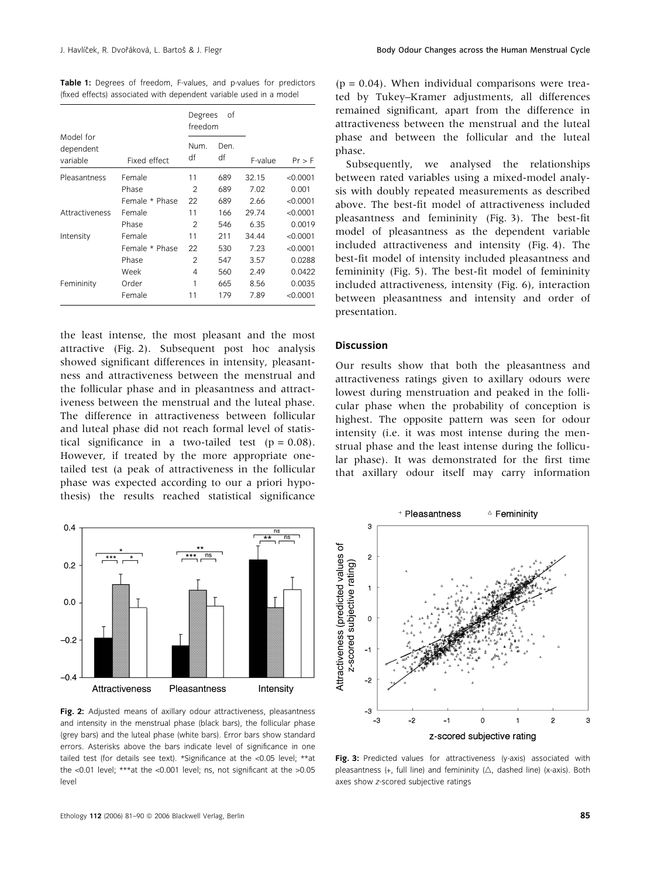Table 1: Degrees of freedom, F-values, and p-values for predictors (fixed effects) associated with dependent variable used in a model

|                                    | Fixed effect   | Degrees<br>οf<br>freedom |            |         |          |
|------------------------------------|----------------|--------------------------|------------|---------|----------|
| Model for<br>dependent<br>variable |                | Num.<br>df               | Den.<br>df | F-value | $Pr$ > F |
| Pleasantness                       | Female         | 11                       | 689        | 32.15   | < 0.0001 |
|                                    | Phase          | $\mathfrak{p}$           | 689        | 7.02    | 0.001    |
|                                    | Female * Phase | 22                       | 689        | 2.66    | < 0.0001 |
| Attractiveness                     | Female         | 11                       | 166        | 2974    | < 0.0001 |
|                                    | Phase          | $\mathfrak{p}$           | 546        | 6.35    | 0.0019   |
| Intensity                          | Female         | 11                       | 211        | 34.44   | < 0.0001 |
|                                    | Female * Phase | 22                       | 530        | 7.23    | < 0.0001 |
|                                    | Phase          | $\overline{2}$           | 547        | 3.57    | 0.0288   |
|                                    | Week           | 4                        | 560        | 2.49    | 0.0422   |
| Femininity                         | Order          | 1                        | 665        | 8.56    | 0.0035   |
|                                    | Female         | 11                       | 179        | 7.89    | < 0.0001 |

the least intense, the most pleasant and the most attractive (Fig. 2). Subsequent post hoc analysis showed significant differences in intensity, pleasantness and attractiveness between the menstrual and the follicular phase and in pleasantness and attractiveness between the menstrual and the luteal phase. The difference in attractiveness between follicular and luteal phase did not reach formal level of statistical significance in a two-tailed test  $(p = 0.08)$ . However, if treated by the more appropriate onetailed test (a peak of attractiveness in the follicular phase was expected according to our a priori hypothesis) the results reached statistical significance



Fig. 2: Adjusted means of axillary odour attractiveness, pleasantness and intensity in the menstrual phase (black bars), the follicular phase (grey bars) and the luteal phase (white bars). Error bars show standard errors. Asterisks above the bars indicate level of significance in one tailed test (for details see text). \*Significance at the <0.05 level; \*\*at the  $\leq$  0.01 level: \*\*\*at the  $\leq$  0.001 level; ns, not significant at the  $\geq$  0.05 level

Subsequently, we analysed the relationships between rated variables using a mixed-model analysis with doubly repeated measurements as described above. The best-fit model of attractiveness included pleasantness and femininity (Fig. 3). The best-fit model of pleasantness as the dependent variable included attractiveness and intensity (Fig. 4). The best-fit model of intensity included pleasantness and femininity (Fig. 5). The best-fit model of femininity included attractiveness, intensity (Fig. 6), interaction between pleasantness and intensity and order of presentation.

#### **Discussion**

Our results show that both the pleasantness and attractiveness ratings given to axillary odours were lowest during menstruation and peaked in the follicular phase when the probability of conception is highest. The opposite pattern was seen for odour intensity (i.e. it was most intense during the menstrual phase and the least intense during the follicular phase). It was demonstrated for the first time that axillary odour itself may carry information



Fig. 3: Predicted values for attractiveness (y-axis) associated with pleasantness (+, full line) and femininity ( $\triangle$ , dashed line) (x-axis). Both axes show *z*-scored subjective ratings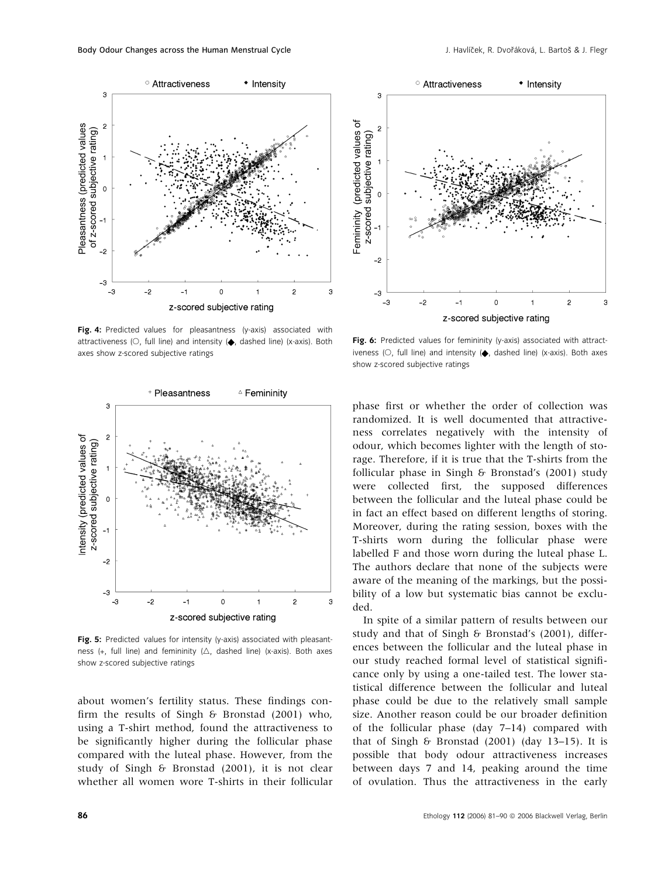



Fig. 4: Predicted values for pleasantness (y-axis) associated with attractiveness ( $\circ$ , full line) and intensity ( $\bullet$ , dashed line) (x-axis). Both axes show z-scored subjective ratings



Fig. 5: Predicted values for intensity (y-axis) associated with pleasantness (+, full line) and femininity ( $\Delta$ , dashed line) (x-axis). Both axes show z-scored subjective ratings

about women's fertility status. These findings confirm the results of Singh & Bronstad (2001) who, using a T-shirt method, found the attractiveness to be significantly higher during the follicular phase compared with the luteal phase. However, from the study of Singh & Bronstad (2001), it is not clear whether all women wore T-shirts in their follicular

Fig. 6: Predicted values for femininity (y-axis) associated with attractiveness ( $\circ$ , full line) and intensity ( $\bullet$ , dashed line) (x-axis). Both axes show z-scored subjective ratings

phase first or whether the order of collection was randomized. It is well documented that attractiveness correlates negatively with the intensity of odour, which becomes lighter with the length of storage. Therefore, if it is true that the T-shirts from the follicular phase in Singh & Bronstad's (2001) study were collected first, the supposed differences between the follicular and the luteal phase could be in fact an effect based on different lengths of storing. Moreover, during the rating session, boxes with the T-shirts worn during the follicular phase were labelled F and those worn during the luteal phase L. The authors declare that none of the subjects were aware of the meaning of the markings, but the possibility of a low but systematic bias cannot be excluded.

In spite of a similar pattern of results between our study and that of Singh & Bronstad's (2001), differences between the follicular and the luteal phase in our study reached formal level of statistical significance only by using a one-tailed test. The lower statistical difference between the follicular and luteal phase could be due to the relatively small sample size. Another reason could be our broader definition of the follicular phase (day 7–14) compared with that of Singh & Bronstad (2001) (day 13–15). It is possible that body odour attractiveness increases between days 7 and 14, peaking around the time of ovulation. Thus the attractiveness in the early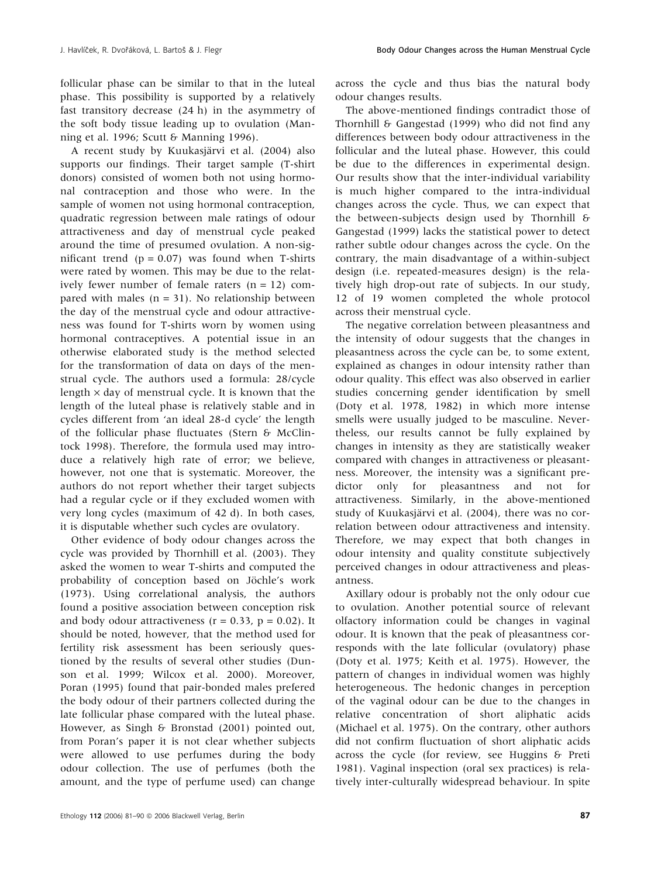follicular phase can be similar to that in the luteal phase. This possibility is supported by a relatively fast transitory decrease (24 h) in the asymmetry of the soft body tissue leading up to ovulation (Manning et al. 1996; Scutt & Manning 1996).

A recent study by Kuukasjärvi et al. (2004) also supports our findings. Their target sample (T-shirt donors) consisted of women both not using hormonal contraception and those who were. In the sample of women not using hormonal contraception, quadratic regression between male ratings of odour attractiveness and day of menstrual cycle peaked around the time of presumed ovulation. A non-significant trend ( $p = 0.07$ ) was found when T-shirts were rated by women. This may be due to the relatively fewer number of female raters  $(n = 12)$  compared with males  $(n = 31)$ . No relationship between the day of the menstrual cycle and odour attractiveness was found for T-shirts worn by women using hormonal contraceptives. A potential issue in an otherwise elaborated study is the method selected for the transformation of data on days of the menstrual cycle. The authors used a formula: 28/cycle length  $\times$  day of menstrual cycle. It is known that the length of the luteal phase is relatively stable and in cycles different from 'an ideal 28-d cycle' the length of the follicular phase fluctuates (Stern & McClintock 1998). Therefore, the formula used may introduce a relatively high rate of error; we believe, however, not one that is systematic. Moreover, the authors do not report whether their target subjects had a regular cycle or if they excluded women with very long cycles (maximum of 42 d). In both cases, it is disputable whether such cycles are ovulatory.

Other evidence of body odour changes across the cycle was provided by Thornhill et al. (2003). They asked the women to wear T-shirts and computed the probability of conception based on Jöchle's work (1973). Using correlational analysis, the authors found a positive association between conception risk and body odour attractiveness ( $r = 0.33$ ,  $p = 0.02$ ). It should be noted, however, that the method used for fertility risk assessment has been seriously questioned by the results of several other studies (Dunson et al. 1999; Wilcox et al. 2000). Moreover, Poran (1995) found that pair-bonded males prefered the body odour of their partners collected during the late follicular phase compared with the luteal phase. However, as Singh & Bronstad (2001) pointed out, from Poran's paper it is not clear whether subjects were allowed to use perfumes during the body odour collection. The use of perfumes (both the amount, and the type of perfume used) can change

across the cycle and thus bias the natural body odour changes results.

The above-mentioned findings contradict those of Thornhill & Gangestad (1999) who did not find any differences between body odour attractiveness in the follicular and the luteal phase. However, this could be due to the differences in experimental design. Our results show that the inter-individual variability is much higher compared to the intra-individual changes across the cycle. Thus, we can expect that the between-subjects design used by Thornhill & Gangestad (1999) lacks the statistical power to detect rather subtle odour changes across the cycle. On the contrary, the main disadvantage of a within-subject design (i.e. repeated-measures design) is the relatively high drop-out rate of subjects. In our study, 12 of 19 women completed the whole protocol across their menstrual cycle.

The negative correlation between pleasantness and the intensity of odour suggests that the changes in pleasantness across the cycle can be, to some extent, explained as changes in odour intensity rather than odour quality. This effect was also observed in earlier studies concerning gender identification by smell (Doty et al. 1978, 1982) in which more intense smells were usually judged to be masculine. Nevertheless, our results cannot be fully explained by changes in intensity as they are statistically weaker compared with changes in attractiveness or pleasantness. Moreover, the intensity was a significant predictor only for pleasantness and not for attractiveness. Similarly, in the above-mentioned study of Kuukasjärvi et al. (2004), there was no correlation between odour attractiveness and intensity. Therefore, we may expect that both changes in odour intensity and quality constitute subjectively perceived changes in odour attractiveness and pleasantness.

Axillary odour is probably not the only odour cue to ovulation. Another potential source of relevant olfactory information could be changes in vaginal odour. It is known that the peak of pleasantness corresponds with the late follicular (ovulatory) phase (Doty et al. 1975; Keith et al. 1975). However, the pattern of changes in individual women was highly heterogeneous. The hedonic changes in perception of the vaginal odour can be due to the changes in relative concentration of short aliphatic acids (Michael et al. 1975). On the contrary, other authors did not confirm fluctuation of short aliphatic acids across the cycle (for review, see Huggins & Preti 1981). Vaginal inspection (oral sex practices) is relatively inter-culturally widespread behaviour. In spite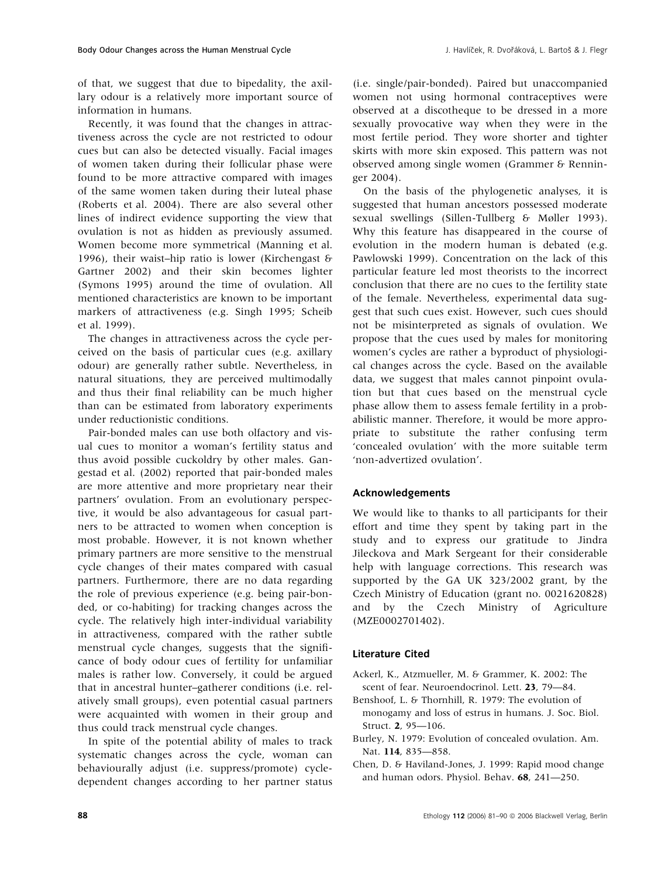of that, we suggest that due to bipedality, the axillary odour is a relatively more important source of information in humans.

Recently, it was found that the changes in attractiveness across the cycle are not restricted to odour cues but can also be detected visually. Facial images of women taken during their follicular phase were found to be more attractive compared with images of the same women taken during their luteal phase (Roberts et al. 2004). There are also several other lines of indirect evidence supporting the view that ovulation is not as hidden as previously assumed. Women become more symmetrical (Manning et al. 1996), their waist–hip ratio is lower (Kirchengast & Gartner 2002) and their skin becomes lighter (Symons 1995) around the time of ovulation. All mentioned characteristics are known to be important markers of attractiveness (e.g. Singh 1995; Scheib et al. 1999).

The changes in attractiveness across the cycle perceived on the basis of particular cues (e.g. axillary odour) are generally rather subtle. Nevertheless, in natural situations, they are perceived multimodally and thus their final reliability can be much higher than can be estimated from laboratory experiments under reductionistic conditions.

Pair-bonded males can use both olfactory and visual cues to monitor a woman's fertility status and thus avoid possible cuckoldry by other males. Gangestad et al. (2002) reported that pair-bonded males are more attentive and more proprietary near their partners' ovulation. From an evolutionary perspective, it would be also advantageous for casual partners to be attracted to women when conception is most probable. However, it is not known whether primary partners are more sensitive to the menstrual cycle changes of their mates compared with casual partners. Furthermore, there are no data regarding the role of previous experience (e.g. being pair-bonded, or co-habiting) for tracking changes across the cycle. The relatively high inter-individual variability in attractiveness, compared with the rather subtle menstrual cycle changes, suggests that the significance of body odour cues of fertility for unfamiliar males is rather low. Conversely, it could be argued that in ancestral hunter–gatherer conditions (i.e. relatively small groups), even potential casual partners were acquainted with women in their group and thus could track menstrual cycle changes.

In spite of the potential ability of males to track systematic changes across the cycle, woman can behaviourally adjust (i.e. suppress/promote) cycledependent changes according to her partner status

(i.e. single/pair-bonded). Paired but unaccompanied women not using hormonal contraceptives were observed at a discotheque to be dressed in a more sexually provocative way when they were in the most fertile period. They wore shorter and tighter skirts with more skin exposed. This pattern was not observed among single women (Grammer & Renninger 2004).

On the basis of the phylogenetic analyses, it is suggested that human ancestors possessed moderate sexual swellings (Sillen-Tullberg & Møller 1993). Why this feature has disappeared in the course of evolution in the modern human is debated (e.g. Pawlowski 1999). Concentration on the lack of this particular feature led most theorists to the incorrect conclusion that there are no cues to the fertility state of the female. Nevertheless, experimental data suggest that such cues exist. However, such cues should not be misinterpreted as signals of ovulation. We propose that the cues used by males for monitoring women's cycles are rather a byproduct of physiological changes across the cycle. Based on the available data, we suggest that males cannot pinpoint ovulation but that cues based on the menstrual cycle phase allow them to assess female fertility in a probabilistic manner. Therefore, it would be more appropriate to substitute the rather confusing term 'concealed ovulation' with the more suitable term 'non-advertized ovulation'.

# Acknowledgements

We would like to thanks to all participants for their effort and time they spent by taking part in the study and to express our gratitude to Jindra Jileckova and Mark Sergeant for their considerable help with language corrections. This research was supported by the GA UK 323/2002 grant, by the Czech Ministry of Education (grant no. 0021620828) and by the Czech Ministry of Agriculture (MZE0002701402).

# Literature Cited

- Ackerl, K., Atzmueller, M. & Grammer, K. 2002: The scent of fear. Neuroendocrinol. Lett. 23, 79—84.
- Benshoof, L. & Thornhill, R. 1979: The evolution of monogamy and loss of estrus in humans. J. Soc. Biol. Struct. 2, 95—106.
- Burley, N. 1979: Evolution of concealed ovulation. Am. Nat. 114, 835—858.
- Chen, D. & Haviland-Jones, J. 1999: Rapid mood change and human odors. Physiol. Behav. 68, 241—250.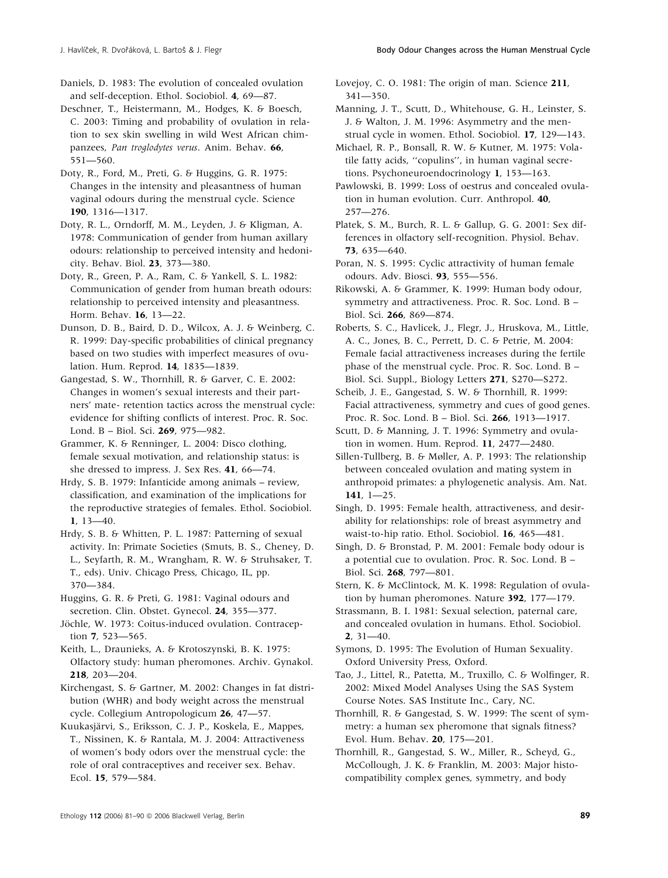Daniels, D. 1983: The evolution of concealed ovulation and self-deception. Ethol. Sociobiol. 4, 69—87.

Deschner, T., Heistermann, M., Hodges, K. & Boesch, C. 2003: Timing and probability of ovulation in relation to sex skin swelling in wild West African chimpanzees, Pan troglodytes verus. Anim. Behav. 66, 551—560.

Doty, R., Ford, M., Preti, G. & Huggins, G. R. 1975: Changes in the intensity and pleasantness of human vaginal odours during the menstrual cycle. Science 190, 1316—1317.

Doty, R. L., Orndorff, M. M., Leyden, J. & Kligman, A. 1978: Communication of gender from human axillary odours: relationship to perceived intensity and hedonicity. Behav. Biol. 23, 373—380.

Doty, R., Green, P. A., Ram, C. & Yankell, S. L. 1982: Communication of gender from human breath odours: relationship to perceived intensity and pleasantness. Horm. Behav. 16, 13—22.

Dunson, D. B., Baird, D. D., Wilcox, A. J. & Weinberg, C. R. 1999: Day-specific probabilities of clinical pregnancy based on two studies with imperfect measures of ovulation. Hum. Reprod. 14, 1835—1839.

Gangestad, S. W., Thornhill, R. & Garver, C. E. 2002: Changes in women's sexual interests and their partners' mate- retention tactics across the menstrual cycle: evidence for shifting conflicts of interest. Proc. R. Soc. Lond. B – Biol. Sci. 269, 975—982.

Grammer, K. & Renninger, L. 2004: Disco clothing, female sexual motivation, and relationship status: is she dressed to impress. J. Sex Res. 41, 66—74.

Hrdy, S. B. 1979: Infanticide among animals – review, classification, and examination of the implications for the reproductive strategies of females. Ethol. Sociobiol. 1, 13—40.

Hrdy, S. B. & Whitten, P. L. 1987: Patterning of sexual activity. In: Primate Societies (Smuts, B. S., Cheney, D. L., Seyfarth, R. M., Wrangham, R. W. & Struhsaker, T. T., eds). Univ. Chicago Press, Chicago, IL, pp. 370—384.

Huggins, G. R. & Preti, G. 1981: Vaginal odours and secretion. Clin. Obstet. Gynecol. **24**, 355–377.

Jöchle, W. 1973: Coitus-induced ovulation. Contraception 7, 523—565.

Keith, L., Draunieks, A. & Krotoszynski, B. K. 1975: Olfactory study: human pheromones. Archiv. Gynakol. 218, 203—204.

Kirchengast, S. & Gartner, M. 2002: Changes in fat distribution (WHR) and body weight across the menstrual cycle. Collegium Antropologicum 26, 47—57.

Kuukasjärvi, S., Eriksson, C. J. P., Koskela, E., Mappes, T., Nissinen, K. & Rantala, M. J. 2004: Attractiveness of women's body odors over the menstrual cycle: the role of oral contraceptives and receiver sex. Behav. Ecol. 15, 579—584.

Lovejoy, C. O. 1981: The origin of man. Science 211, 341—350.

Manning, J. T., Scutt, D., Whitehouse, G. H., Leinster, S. J. & Walton, J. M. 1996: Asymmetry and the menstrual cycle in women. Ethol. Sociobiol. 17, 129—143.

Michael, R. P., Bonsall, R. W. & Kutner, M. 1975: Volatile fatty acids, ''copulins'', in human vaginal secretions. Psychoneuroendocrinology 1, 153—163.

Pawlowski, B. 1999: Loss of oestrus and concealed ovulation in human evolution. Curr. Anthropol. 40, 257—276.

Platek, S. M., Burch, R. L. & Gallup, G. G. 2001: Sex differences in olfactory self-recognition. Physiol. Behav. 73, 635—640.

Poran, N. S. 1995: Cyclic attractivity of human female odours. Adv. Biosci. 93, 555—556.

Rikowski, A. & Grammer, K. 1999: Human body odour, symmetry and attractiveness. Proc. R. Soc. Lond. B – Biol. Sci. 266, 869—874.

Roberts, S. C., Havlicek, J., Flegr, J., Hruskova, M., Little, A. C., Jones, B. C., Perrett, D. C. & Petrie, M. 2004: Female facial attractiveness increases during the fertile phase of the menstrual cycle. Proc. R. Soc. Lond. B – Biol. Sci. Suppl., Biology Letters 271, S270—S272.

Scheib, J. E., Gangestad, S. W. & Thornhill, R. 1999: Facial attractiveness, symmetry and cues of good genes. Proc. R. Soc. Lond. B – Biol. Sci. 266, 1913—1917.

Scutt, D. & Manning, J. T. 1996: Symmetry and ovulation in women. Hum. Reprod. 11, 2477—2480.

Sillen-Tullberg, B. & Møller, A. P. 1993: The relationship between concealed ovulation and mating system in anthropoid primates: a phylogenetic analysis. Am. Nat. 141, 1—25.

Singh, D. 1995: Female health, attractiveness, and desirability for relationships: role of breast asymmetry and waist-to-hip ratio. Ethol. Sociobiol. 16, 465—481.

Singh, D. & Bronstad, P. M. 2001: Female body odour is a potential cue to ovulation. Proc. R. Soc. Lond. B – Biol. Sci. 268, 797—801.

Stern, K. & McClintock, M. K. 1998: Regulation of ovulation by human pheromones. Nature 392, 177—179.

Strassmann, B. I. 1981: Sexual selection, paternal care, and concealed ovulation in humans. Ethol. Sociobiol. 2, 31—40.

Symons, D. 1995: The Evolution of Human Sexuality. Oxford University Press, Oxford.

Tao, J., Littel, R., Patetta, M., Truxillo, C. & Wolfinger, R. 2002: Mixed Model Analyses Using the SAS System Course Notes. SAS Institute Inc., Cary, NC.

Thornhill, R. & Gangestad, S. W. 1999: The scent of symmetry: a human sex pheromone that signals fitness? Evol. Hum. Behav. 20, 175—201.

Thornhill, R., Gangestad, S. W., Miller, R., Scheyd, G., McCollough, J. K. & Franklin, M. 2003: Major histocompatibility complex genes, symmetry, and body